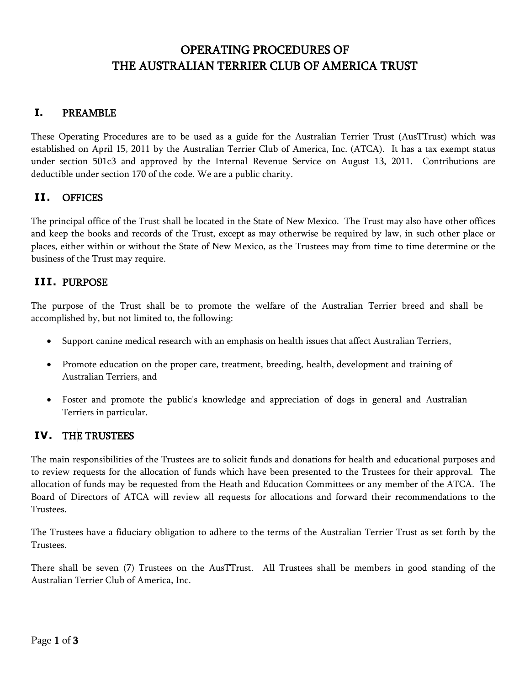# OPERATING PROCEDURES OF THE AUSTRALIAN TERRIER CLUB OF AMERICA TRUST

## **I.** PREAMBLE

These Operating Procedures are to be used as a guide for the Australian Terrier Trust (AusTTrust) which was established on April 15, 2011 by the Australian Terrier Club of America, Inc. (ATCA). It has a tax exempt status under section 501c3 and approved by the Internal Revenue Service on August 13, 2011. Contributions are deductible under section 170 of the code. We are a public charity.

#### **II.** OFFICES

The principal office of the Trust shall be located in the State of New Mexico. The Trust may also have other offices and keep the books and records of the Trust, except as may otherwise be required by law, in such other place or places, either within or without the State of New Mexico, as the Trustees may from time to time determine or the business of the Trust may require.

#### **III.** PURPOSE

The purpose of the Trust shall be to promote the welfare of the Australian Terrier breed and shall be accomplished by, but not limited to, the following:

- Support canine medical research with an emphasis on health issues that affect Australian Terriers,
- Promote education on the proper care, treatment, breeding, health, development and training of Australian Terriers, and
- Foster and promote the public's knowledge and appreciation of dogs in general and Australian Terriers in particular.

#### **IV.** THE TRUSTEES

The main responsibilities of the Trustees are to solicit funds and donations for health and educational purposes and to review requests for the allocation of funds which have been presented to the Trustees for their approval. The allocation of funds may be requested from the Heath and Education Committees or any member of the ATCA. The Board of Directors of ATCA will review all requests for allocations and forward their recommendations to the Trustees.

The Trustees have a fiduciary obligation to adhere to the terms of the Australian Terrier Trust as set forth by the Trustees.

There shall be seven (7) Trustees on the AusTTrust. All Trustees shall be members in good standing of the Australian Terrier Club of America, Inc.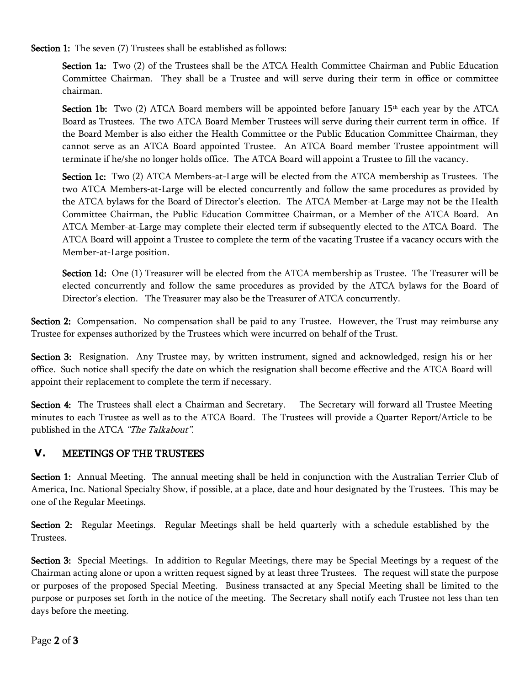Section 1: The seven (7) Trustees shall be established as follows:

Section 1a: Two (2) of the Trustees shall be the ATCA Health Committee Chairman and Public Education Committee Chairman. They shall be a Trustee and will serve during their term in office or committee chairman.

**Section 1b:** Two (2) ATCA Board members will be appointed before January  $15<sup>th</sup>$  each year by the ATCA Board as Trustees. The two ATCA Board Member Trustees will serve during their current term in office. If the Board Member is also either the Health Committee or the Public Education Committee Chairman, they cannot serve as an ATCA Board appointed Trustee. An ATCA Board member Trustee appointment will terminate if he/she no longer holds office. The ATCA Board will appoint a Trustee to fill the vacancy.

Section 1c: Two (2) ATCA Members-at-Large will be elected from the ATCA membership as Trustees. The two ATCA Members-at-Large will be elected concurrently and follow the same procedures as provided by the ATCA bylaws for the Board of Director's election. The ATCA Member-at-Large may not be the Health Committee Chairman, the Public Education Committee Chairman, or a Member of the ATCA Board. An ATCA Member-at-Large may complete their elected term if subsequently elected to the ATCA Board. The ATCA Board will appoint a Trustee to complete the term of the vacating Trustee if a vacancy occurs with the Member-at-Large position.

Section 1d: One (1) Treasurer will be elected from the ATCA membership as Trustee. The Treasurer will be elected concurrently and follow the same procedures as provided by the ATCA bylaws for the Board of Director's election. The Treasurer may also be the Treasurer of ATCA concurrently.

Section 2: Compensation. No compensation shall be paid to any Trustee. However, the Trust may reimburse any Trustee for expenses authorized by the Trustees which were incurred on behalf of the Trust.

Section 3: Resignation. Any Trustee may, by written instrument, signed and acknowledged, resign his or her office. Such notice shall specify the date on which the resignation shall become effective and the ATCA Board will appoint their replacement to complete the term if necessary.

Section 4: The Trustees shall elect a Chairman and Secretary. The Secretary will forward all Trustee Meeting minutes to each Trustee as well as to the ATCA Board. The Trustees will provide a Quarter Report/Article to be published in the ATCA "The Talkabout".

# **V.** MEETINGS OF THE TRUSTEES

Section 1: Annual Meeting. The annual meeting shall be held in conjunction with the Australian Terrier Club of America, Inc. National Specialty Show, if possible, at a place, date and hour designated by the Trustees. This may be one of the Regular Meetings.

Section 2: Regular Meetings. Regular Meetings shall be held quarterly with a schedule established by the Trustees.

Section 3: Special Meetings. In addition to Regular Meetings, there may be Special Meetings by a request of the Chairman acting alone or upon a written request signed by at least three Trustees. The request will state the purpose or purposes of the proposed Special Meeting. Business transacted at any Special Meeting shall be limited to the purpose or purposes set forth in the notice of the meeting. The Secretary shall notify each Trustee not less than ten days before the meeting.